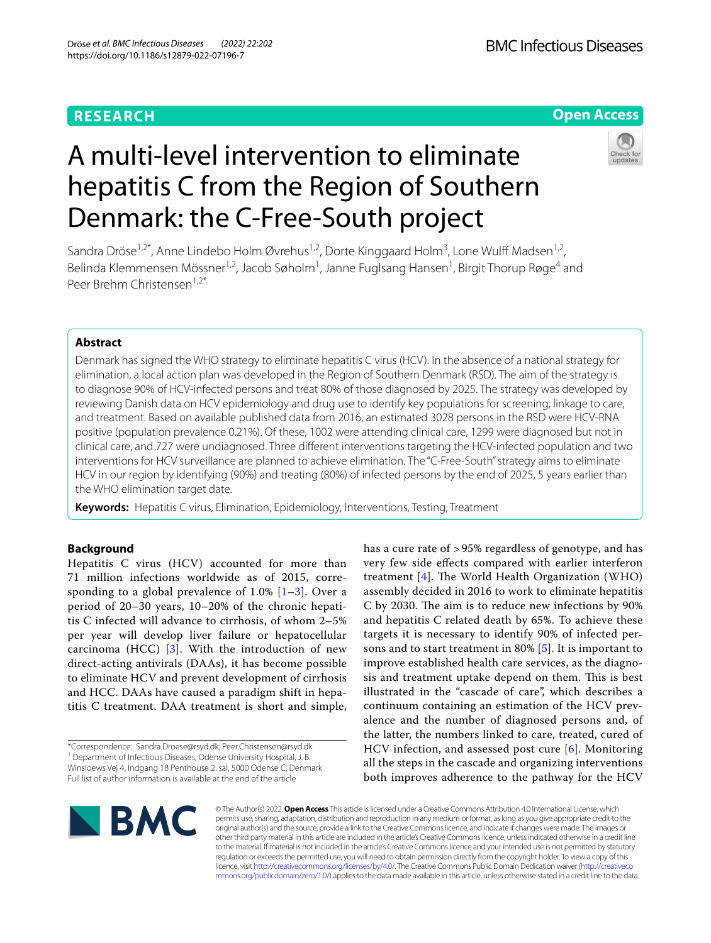# **RESEARCH**

# **Open Access**

# A multi-level intervention to eliminate hepatitis C from the Region of Southern Denmark: the C-Free-South project



Sandra Dröse<sup>1,2\*</sup>, Anne Lindebo Holm Øvrehus<sup>1,2</sup>, Dorte Kinggaard Holm<sup>3</sup>, Lone Wulff Madsen<sup>1,2</sup>, Belinda Klemmensen Mössner<sup>1,2</sup>, Jacob Søholm<sup>1</sup>, Janne Fuglsang Hansen<sup>1</sup>, Birgit Thorup Røge<sup>4</sup> and Peer Brehm Christensen<sup>1,2\*</sup>

# **Abstract**

Denmark has signed the WHO strategy to eliminate hepatitis C virus (HCV). In the absence of a national strategy for elimination, a local action plan was developed in the Region of Southern Denmark (RSD). The aim of the strategy is to diagnose 90% of HCV-infected persons and treat 80% of those diagnosed by 2025. The strategy was developed by reviewing Danish data on HCV epidemiology and drug use to identify key populations for screening, linkage to care, and treatment. Based on available published data from 2016, an estimated 3028 persons in the RSD were HCV-RNA positive (population prevalence 0.21%). Of these, 1002 were attending clinical care, 1299 were diagnosed but not in clinical care, and 727 were undiagnosed. Three diferent interventions targeting the HCV-infected population and two interventions for HCV surveillance are planned to achieve elimination. The "C-Free-South" strategy aims to eliminate HCV in our region by identifying (90%) and treating (80%) of infected persons by the end of 2025, 5 years earlier than the WHO elimination target date.

**Keywords:** Hepatitis C virus, Elimination, Epidemiology, Interventions, Testing, Treatment

# **Background**

Hepatitis C virus (HCV) accounted for more than 71 million infections worldwide as of 2015, corresponding to a global prevalence of  $1.0\%$   $[1-3]$  $[1-3]$ . Over a period of 20–30 years, 10–20% of the chronic hepatitis C infected will advance to cirrhosis, of whom 2–5% per year will develop liver failure or hepatocellular carcinoma (HCC)  $[3]$  $[3]$ . With the introduction of new direct-acting antivirals (DAAs), it has become possible to eliminate HCV and prevent development of cirrhosis and HCC. DAAs have caused a paradigm shift in hepatitis C treatment. DAA treatment is short and simple,

\*Correspondence: Sandra.Droese@rsyd.dk; Peer.Christensen@rsyd.dk <sup>1</sup> Department of Infectious Diseases, Odense University Hospital, J. B. Winsloews Vej 4, Indgang 18 Penthouse 2. sal, 5000 Odense C, Denmark Full list of author information is available at the end of the article

has a cure rate of > 95% regardless of genotype, and has very few side efects compared with earlier interferon treatment  $[4]$  $[4]$ . The World Health Organization (WHO) assembly decided in 2016 to work to eliminate hepatitis C by 2030. The aim is to reduce new infections by 90% and hepatitis C related death by 65%. To achieve these targets it is necessary to identify 90% of infected persons and to start treatment in 80% [[5\]](#page-6-3). It is important to improve established health care services, as the diagnosis and treatment uptake depend on them. This is best illustrated in the "cascade of care", which describes a continuum containing an estimation of the HCV prevalence and the number of diagnosed persons and, of the latter, the numbers linked to care, treated, cured of HCV infection, and assessed post cure [\[6](#page-6-4)]. Monitoring all the steps in the cascade and organizing interventions both improves adherence to the pathway for the HCV



© The Author(s) 2022. **Open Access** This article is licensed under a Creative Commons Attribution 4.0 International License, which permits use, sharing, adaptation, distribution and reproduction in any medium or format, as long as you give appropriate credit to the original author(s) and the source, provide a link to the Creative Commons licence, and indicate if changes were made. The images or other third party material in this article are included in the article's Creative Commons licence, unless indicated otherwise in a credit line to the material. If material is not included in the article's Creative Commons licence and your intended use is not permitted by statutory regulation or exceeds the permitted use, you will need to obtain permission directly from the copyright holder. To view a copy of this licence, visit [http://creativecommons.org/licenses/by/4.0/.](http://creativecommons.org/licenses/by/4.0/) The Creative Commons Public Domain Dedication waiver ([http://creativeco](http://creativecommons.org/publicdomain/zero/1.0/) [mmons.org/publicdomain/zero/1.0/](http://creativecommons.org/publicdomain/zero/1.0/)) applies to the data made available in this article, unless otherwise stated in a credit line to the data.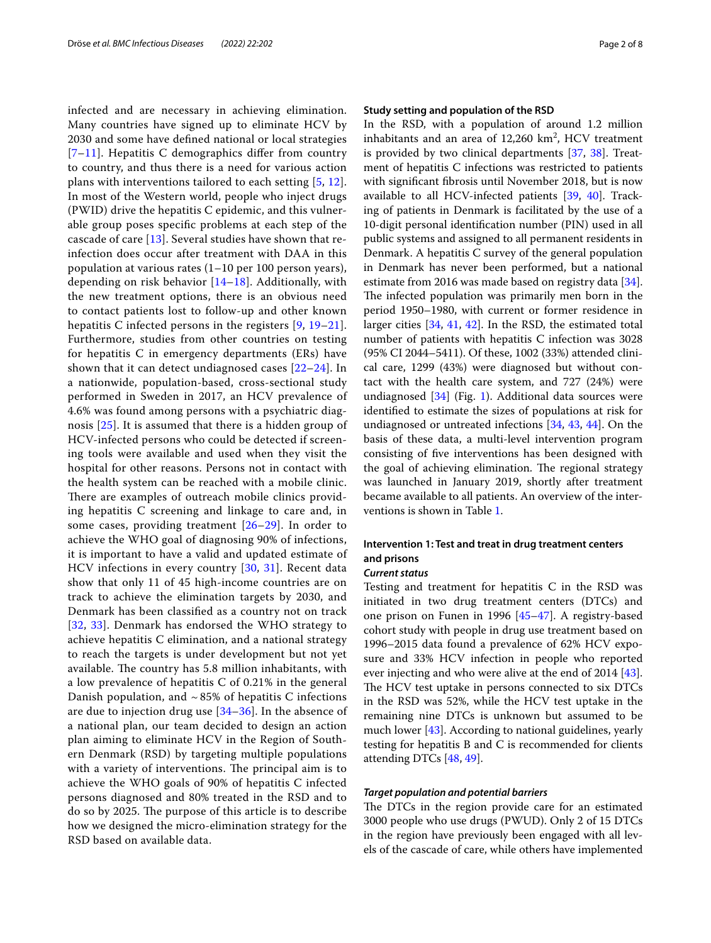infected and are necessary in achieving elimination. Many countries have signed up to eliminate HCV by 2030 and some have defned national or local strategies  $[7-11]$  $[7-11]$  $[7-11]$ . Hepatitis C demographics differ from country to country, and thus there is a need for various action plans with interventions tailored to each setting [[5,](#page-6-3) [12\]](#page-6-7). In most of the Western world, people who inject drugs (PWID) drive the hepatitis C epidemic, and this vulnerable group poses specifc problems at each step of the cascade of care [[13\]](#page-6-8). Several studies have shown that reinfection does occur after treatment with DAA in this population at various rates (1–10 per 100 person years), depending on risk behavior [[14–](#page-6-9)[18](#page-6-10)]. Additionally, with the new treatment options, there is an obvious need to contact patients lost to follow-up and other known hepatitis C infected persons in the registers [\[9](#page-6-11), [19–](#page-6-12)[21\]](#page-6-13). Furthermore, studies from other countries on testing for hepatitis C in emergency departments (ERs) have shown that it can detect undiagnosed cases [[22–](#page-6-14)[24](#page-6-15)]. In a nationwide, population-based, cross-sectional study performed in Sweden in 2017, an HCV prevalence of 4.6% was found among persons with a psychiatric diagnosis [\[25\]](#page-6-16). It is assumed that there is a hidden group of HCV-infected persons who could be detected if screening tools were available and used when they visit the hospital for other reasons. Persons not in contact with the health system can be reached with a mobile clinic. There are examples of outreach mobile clinics providing hepatitis C screening and linkage to care and, in some cases, providing treatment [[26–](#page-6-17)[29\]](#page-6-18). In order to achieve the WHO goal of diagnosing 90% of infections, it is important to have a valid and updated estimate of HCV infections in every country [[30](#page-6-19), [31](#page-6-20)]. Recent data show that only 11 of 45 high-income countries are on track to achieve the elimination targets by 2030, and Denmark has been classifed as a country not on track [[32](#page-6-21), [33](#page-6-22)]. Denmark has endorsed the WHO strategy to achieve hepatitis C elimination, and a national strategy to reach the targets is under development but not yet available. The country has 5.8 million inhabitants, with a low prevalence of hepatitis C of 0.21% in the general Danish population, and  $\sim$  85% of hepatitis C infections are due to injection drug use [\[34](#page-6-23)[–36](#page-6-24)]. In the absence of a national plan, our team decided to design an action plan aiming to eliminate HCV in the Region of Southern Denmark (RSD) by targeting multiple populations with a variety of interventions. The principal aim is to achieve the WHO goals of 90% of hepatitis C infected persons diagnosed and 80% treated in the RSD and to do so by 2025. The purpose of this article is to describe how we designed the micro-elimination strategy for the RSD based on available data.

#### **Study setting and population of the RSD**

In the RSD, with a population of around 1.2 million inhabitants and an area of  $12,260 \text{ km}^2$ , HCV treatment is provided by two clinical departments [[37,](#page-6-25) [38](#page-6-26)]. Treatment of hepatitis C infections was restricted to patients with signifcant fbrosis until November 2018, but is now available to all HCV-infected patients [\[39,](#page-6-27) [40\]](#page-7-0). Tracking of patients in Denmark is facilitated by the use of a 10-digit personal identifcation number (PIN) used in all public systems and assigned to all permanent residents in Denmark. A hepatitis C survey of the general population in Denmark has never been performed, but a national estimate from 2016 was made based on registry data [\[34](#page-6-23)]. The infected population was primarily men born in the period 1950–1980, with current or former residence in larger cities [\[34](#page-6-23), [41,](#page-7-1) [42\]](#page-7-2). In the RSD, the estimated total number of patients with hepatitis C infection was 3028 (95% CI 2044–5411). Of these, 1002 (33%) attended clinical care, 1299 (43%) were diagnosed but without contact with the health care system, and 727 (24%) were undiagnosed [[34\]](#page-6-23) (Fig. [1](#page-2-0)). Additional data sources were identifed to estimate the sizes of populations at risk for undiagnosed or untreated infections [\[34,](#page-6-23) [43,](#page-7-3) [44](#page-7-4)]. On the basis of these data, a multi-level intervention program consisting of fve interventions has been designed with the goal of achieving elimination. The regional strategy was launched in January 2019, shortly after treatment became available to all patients. An overview of the interventions is shown in Table [1](#page-2-1).

# **Intervention 1: Test and treat in drug treatment centers and prisons**

## *Current status*

Testing and treatment for hepatitis C in the RSD was initiated in two drug treatment centers (DTCs) and one prison on Funen in 1996 [[45–](#page-7-5)[47](#page-7-6)]. A registry-based cohort study with people in drug use treatment based on 1996–2015 data found a prevalence of 62% HCV exposure and 33% HCV infection in people who reported ever injecting and who were alive at the end of 2014 [\[43](#page-7-3)]. The HCV test uptake in persons connected to six DTCs in the RSD was 52%, while the HCV test uptake in the remaining nine DTCs is unknown but assumed to be much lower [[43\]](#page-7-3). According to national guidelines, yearly testing for hepatitis B and C is recommended for clients attending DTCs [\[48](#page-7-7), [49](#page-7-8)].

## *Target population and potential barriers*

The DTCs in the region provide care for an estimated 3000 people who use drugs (PWUD). Only 2 of 15 DTCs in the region have previously been engaged with all levels of the cascade of care, while others have implemented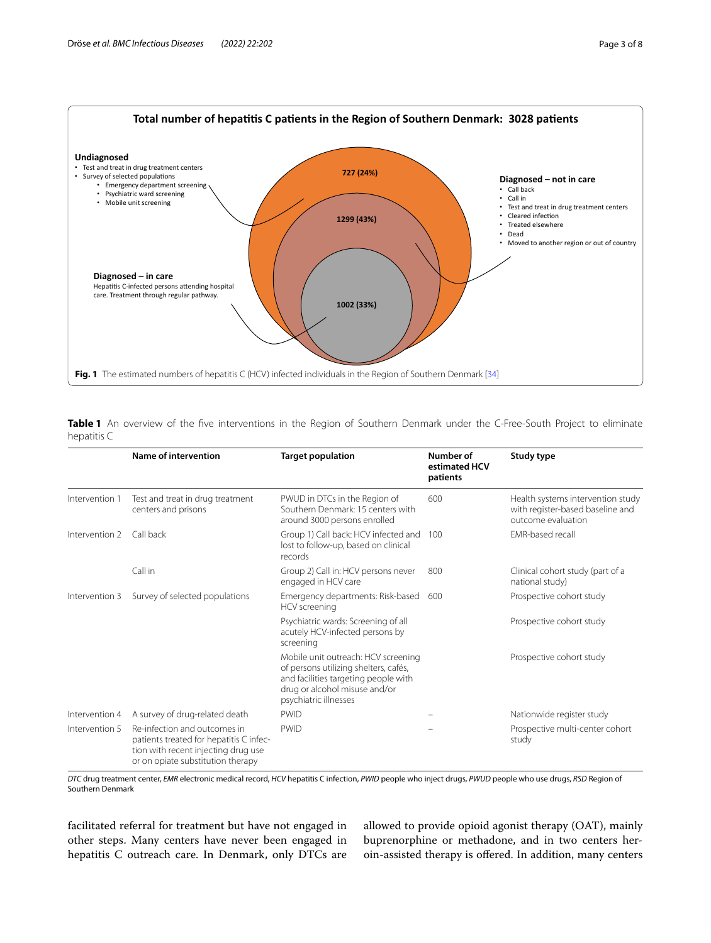

<span id="page-2-1"></span><span id="page-2-0"></span>**Table 1** An overview of the fve interventions in the Region of Southern Denmark under the C-Free-South Project to eliminate hepatitis C

|                | Name of intervention                                                                                                                                | <b>Target population</b>                                                                                                                                                       | Number of<br>estimated HCV<br>patients | Study type                                                                                  |
|----------------|-----------------------------------------------------------------------------------------------------------------------------------------------------|--------------------------------------------------------------------------------------------------------------------------------------------------------------------------------|----------------------------------------|---------------------------------------------------------------------------------------------|
| Intervention 1 | Test and treat in drug treatment<br>centers and prisons                                                                                             | PWUD in DTCs in the Region of<br>Southern Denmark: 15 centers with<br>around 3000 persons enrolled                                                                             | 600                                    | Health systems intervention study<br>with register-based baseline and<br>outcome evaluation |
| Intervention 2 | Call back                                                                                                                                           | Group 1) Call back: HCV infected and<br>lost to follow-up, based on clinical<br>records                                                                                        | 100                                    | <b>FMR-based recall</b>                                                                     |
|                | Call in                                                                                                                                             | Group 2) Call in: HCV persons never<br>engaged in HCV care                                                                                                                     | 800                                    | Clinical cohort study (part of a<br>national study)                                         |
| Intervention 3 | Survey of selected populations                                                                                                                      | Emergency departments: Risk-based<br>HCV screening                                                                                                                             | 600                                    | Prospective cohort study                                                                    |
|                |                                                                                                                                                     | Psychiatric wards: Screening of all<br>acutely HCV-infected persons by<br>screening                                                                                            |                                        | Prospective cohort study                                                                    |
|                |                                                                                                                                                     | Mobile unit outreach: HCV screening<br>of persons utilizing shelters, cafés,<br>and facilities targeting people with<br>drug or alcohol misuse and/or<br>psychiatric illnesses |                                        | Prospective cohort study                                                                    |
| Intervention 4 | A survey of drug-related death                                                                                                                      | <b>PWID</b>                                                                                                                                                                    |                                        | Nationwide register study                                                                   |
| Intervention 5 | Re-infection and outcomes in<br>patients treated for hepatitis C infec-<br>tion with recent injecting drug use<br>or on opiate substitution therapy | <b>PWID</b>                                                                                                                                                                    |                                        | Prospective multi-center cohort<br>study                                                    |

*DTC* drug treatment center, *EMR* electronic medical record, *HCV* hepatitis C infection, *PWID* people who inject drugs, *PWUD* people who use drugs, *RSD* Region of Southern Denmark

facilitated referral for treatment but have not engaged in other steps. Many centers have never been engaged in hepatitis C outreach care. In Denmark, only DTCs are allowed to provide opioid agonist therapy (OAT), mainly buprenorphine or methadone, and in two centers heroin-assisted therapy is ofered. In addition, many centers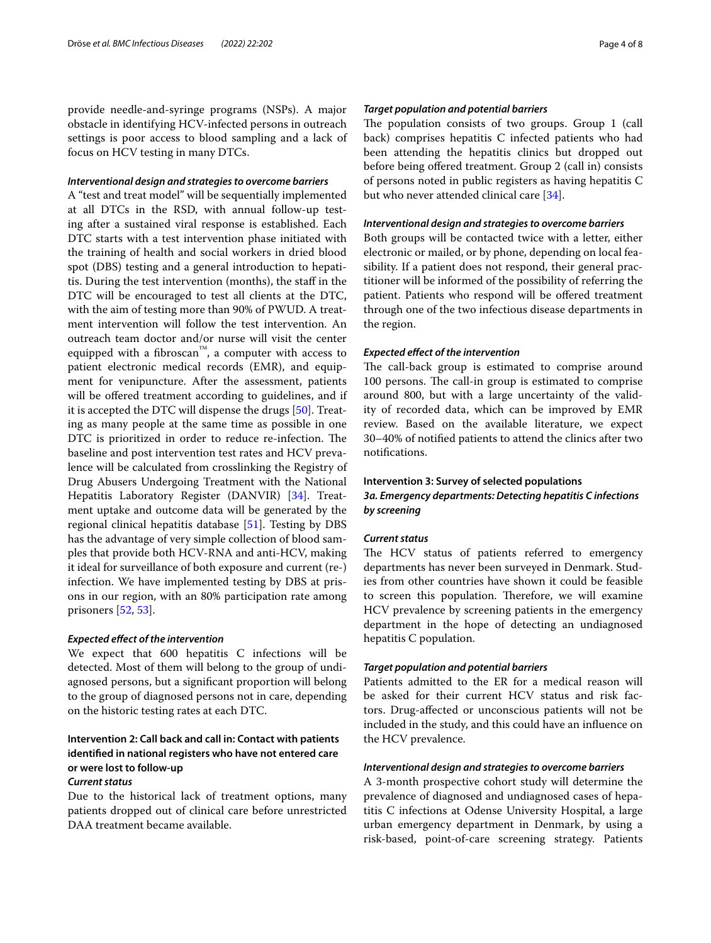provide needle-and-syringe programs (NSPs). A major obstacle in identifying HCV-infected persons in outreach settings is poor access to blood sampling and a lack of focus on HCV testing in many DTCs.

#### *Interventional design and strategies to overcome barriers*

A "test and treat model" will be sequentially implemented at all DTCs in the RSD, with annual follow-up testing after a sustained viral response is established. Each DTC starts with a test intervention phase initiated with the training of health and social workers in dried blood spot (DBS) testing and a general introduction to hepatitis. During the test intervention (months), the staf in the DTC will be encouraged to test all clients at the DTC, with the aim of testing more than 90% of PWUD. A treatment intervention will follow the test intervention. An outreach team doctor and/or nurse will visit the center equipped with a fbroscan™, a computer with access to patient electronic medical records (EMR), and equipment for venipuncture. After the assessment, patients will be offered treatment according to guidelines, and if it is accepted the DTC will dispense the drugs [[50\]](#page-7-9). Treating as many people at the same time as possible in one DTC is prioritized in order to reduce re-infection. The baseline and post intervention test rates and HCV prevalence will be calculated from crosslinking the Registry of Drug Abusers Undergoing Treatment with the National Hepatitis Laboratory Register (DANVIR) [\[34](#page-6-23)]. Treatment uptake and outcome data will be generated by the regional clinical hepatitis database [\[51\]](#page-7-10). Testing by DBS has the advantage of very simple collection of blood samples that provide both HCV-RNA and anti-HCV, making it ideal for surveillance of both exposure and current (re-) infection. We have implemented testing by DBS at prisons in our region, with an 80% participation rate among prisoners [\[52](#page-7-11), [53\]](#page-7-12).

## *Expected efect of the intervention*

We expect that 600 hepatitis C infections will be detected. Most of them will belong to the group of undiagnosed persons, but a signifcant proportion will belong to the group of diagnosed persons not in care, depending on the historic testing rates at each DTC.

# **Intervention 2: Call back and call in: Contact with patients identifed in national registers who have not entered care or were lost to follow‑up**

#### *Current status*

Due to the historical lack of treatment options, many patients dropped out of clinical care before unrestricted DAA treatment became available.

## *Target population and potential barriers*

The population consists of two groups. Group 1 (call back) comprises hepatitis C infected patients who had been attending the hepatitis clinics but dropped out before being offered treatment. Group 2 (call in) consists of persons noted in public registers as having hepatitis C but who never attended clinical care [[34\]](#page-6-23).

## *Interventional design and strategies to overcome barriers*

Both groups will be contacted twice with a letter, either electronic or mailed, or by phone, depending on local feasibility. If a patient does not respond, their general practitioner will be informed of the possibility of referring the patient. Patients who respond will be ofered treatment through one of the two infectious disease departments in the region.

## *Expected efect of the intervention*

The call-back group is estimated to comprise around 100 persons. The call-in group is estimated to comprise around 800, but with a large uncertainty of the validity of recorded data, which can be improved by EMR review. Based on the available literature, we expect 30–40% of notifed patients to attend the clinics after two notifcations.

# **Intervention 3: Survey of selected populations** *3a. Emergency departments: Detecting hepatitis C infections by screening*

## *Current status*

The HCV status of patients referred to emergency departments has never been surveyed in Denmark. Studies from other countries have shown it could be feasible to screen this population. Therefore, we will examine HCV prevalence by screening patients in the emergency department in the hope of detecting an undiagnosed hepatitis C population.

#### *Target population and potential barriers*

Patients admitted to the ER for a medical reason will be asked for their current HCV status and risk factors. Drug-afected or unconscious patients will not be included in the study, and this could have an infuence on the HCV prevalence.

## *Interventional design and strategies to overcome barriers*

A 3-month prospective cohort study will determine the prevalence of diagnosed and undiagnosed cases of hepatitis C infections at Odense University Hospital, a large urban emergency department in Denmark, by using a risk-based, point-of-care screening strategy. Patients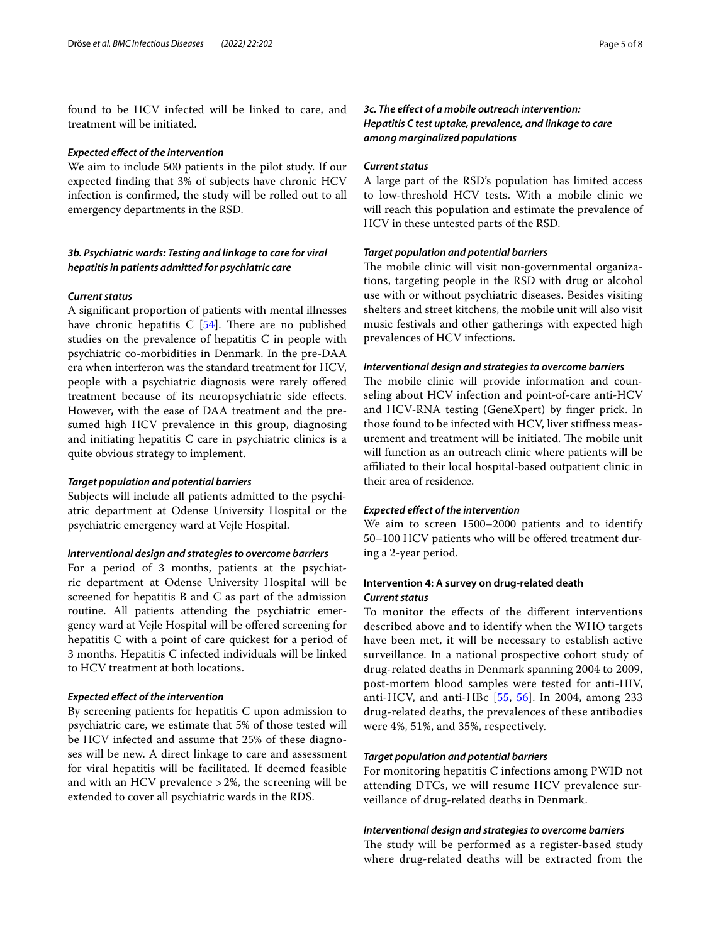found to be HCV infected will be linked to care, and treatment will be initiated.

#### *Expected efect of the intervention*

We aim to include 500 patients in the pilot study. If our expected fnding that 3% of subjects have chronic HCV infection is confrmed, the study will be rolled out to all emergency departments in the RSD.

# *3b. Psychiatric wards: Testing and linkage to care for viral hepatitis in patients admitted for psychiatric care*

## *Current status*

A signifcant proportion of patients with mental illnesses have chronic hepatitis  $C$  [\[54\]](#page-7-13). There are no published studies on the prevalence of hepatitis C in people with psychiatric co-morbidities in Denmark. In the pre-DAA era when interferon was the standard treatment for HCV, people with a psychiatric diagnosis were rarely offered treatment because of its neuropsychiatric side efects. However, with the ease of DAA treatment and the presumed high HCV prevalence in this group, diagnosing and initiating hepatitis C care in psychiatric clinics is a quite obvious strategy to implement.

#### *Target population and potential barriers*

Subjects will include all patients admitted to the psychiatric department at Odense University Hospital or the psychiatric emergency ward at Vejle Hospital.

#### *Interventional design and strategies to overcome barriers*

For a period of 3 months, patients at the psychiatric department at Odense University Hospital will be screened for hepatitis B and C as part of the admission routine. All patients attending the psychiatric emergency ward at Vejle Hospital will be ofered screening for hepatitis C with a point of care quickest for a period of 3 months. Hepatitis C infected individuals will be linked to HCV treatment at both locations.

#### *Expected efect of the intervention*

By screening patients for hepatitis C upon admission to psychiatric care, we estimate that 5% of those tested will be HCV infected and assume that 25% of these diagnoses will be new. A direct linkage to care and assessment for viral hepatitis will be facilitated. If deemed feasible and with an HCV prevalence >2%, the screening will be extended to cover all psychiatric wards in the RDS.

# *3c. The efect of a mobile outreach intervention: Hepatitis C test uptake, prevalence, and linkage to care among marginalized populations*

#### *Current status*

A large part of the RSD's population has limited access to low-threshold HCV tests. With a mobile clinic we will reach this population and estimate the prevalence of HCV in these untested parts of the RSD.

## *Target population and potential barriers*

The mobile clinic will visit non-governmental organizations, targeting people in the RSD with drug or alcohol use with or without psychiatric diseases. Besides visiting shelters and street kitchens, the mobile unit will also visit music festivals and other gatherings with expected high prevalences of HCV infections.

#### *Interventional design and strategies to overcome barriers*

The mobile clinic will provide information and counseling about HCV infection and point-of-care anti-HCV and HCV-RNA testing (GeneXpert) by fnger prick. In those found to be infected with HCV, liver stifness measurement and treatment will be initiated. The mobile unit will function as an outreach clinic where patients will be afliated to their local hospital-based outpatient clinic in their area of residence.

#### *Expected efect of the intervention*

We aim to screen 1500–2000 patients and to identify 50–100 HCV patients who will be ofered treatment during a 2-year period.

## **Intervention 4: A survey on drug‑related death** *Current status*

To monitor the efects of the diferent interventions described above and to identify when the WHO targets have been met, it will be necessary to establish active surveillance. In a national prospective cohort study of drug-related deaths in Denmark spanning 2004 to 2009, post-mortem blood samples were tested for anti-HIV, anti-HCV, and anti-HBc [[55,](#page-7-14) [56\]](#page-7-15). In 2004, among 233 drug-related deaths, the prevalences of these antibodies were 4%, 51%, and 35%, respectively.

## *Target population and potential barriers*

For monitoring hepatitis C infections among PWID not attending DTCs, we will resume HCV prevalence surveillance of drug-related deaths in Denmark.

#### *Interventional design and strategies to overcome barriers*

The study will be performed as a register-based study where drug-related deaths will be extracted from the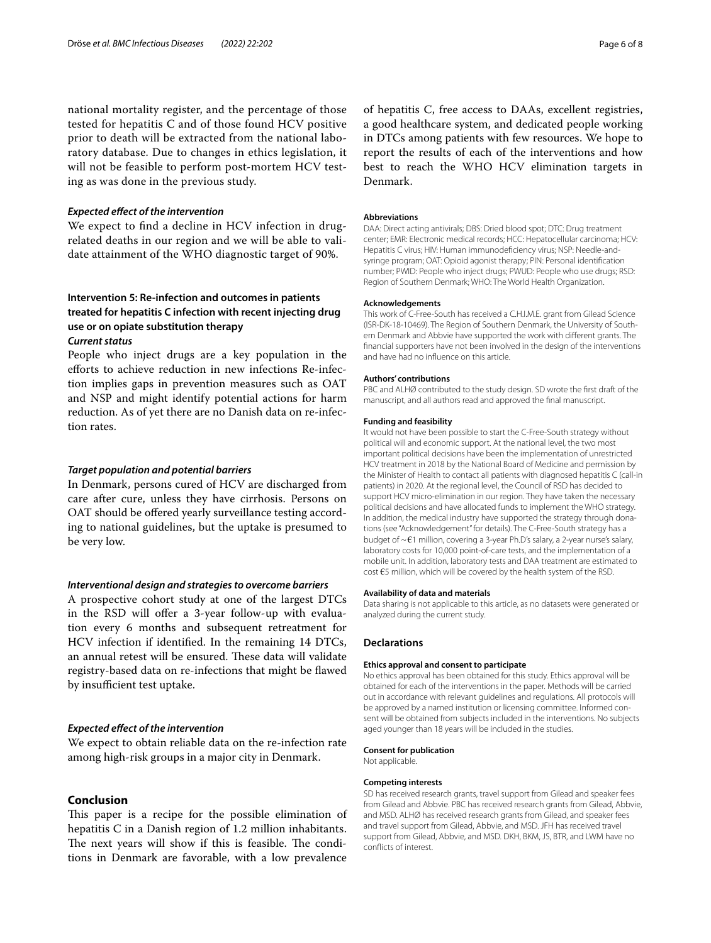national mortality register, and the percentage of those tested for hepatitis C and of those found HCV positive prior to death will be extracted from the national laboratory database. Due to changes in ethics legislation, it will not be feasible to perform post-mortem HCV testing as was done in the previous study.

#### *Expected efect of the intervention*

We expect to fnd a decline in HCV infection in drugrelated deaths in our region and we will be able to validate attainment of the WHO diagnostic target of 90%.

# **Intervention 5: Re‑infection and outcomes in patients treated for hepatitis C infection with recent injecting drug use or on opiate substitution therapy** *Current status*

People who inject drugs are a key population in the efforts to achieve reduction in new infections Re-infection implies gaps in prevention measures such as OAT and NSP and might identify potential actions for harm reduction. As of yet there are no Danish data on re-infection rates.

#### *Target population and potential barriers*

In Denmark, persons cured of HCV are discharged from care after cure, unless they have cirrhosis. Persons on OAT should be ofered yearly surveillance testing according to national guidelines, but the uptake is presumed to be very low.

## *Interventional design and strategies to overcome barriers*

A prospective cohort study at one of the largest DTCs in the RSD will offer a 3-year follow-up with evaluation every 6 months and subsequent retreatment for HCV infection if identifed. In the remaining 14 DTCs, an annual retest will be ensured. These data will validate registry-based data on re-infections that might be fawed by insufficient test uptake.

#### *Expected efect of the intervention*

We expect to obtain reliable data on the re-infection rate among high-risk groups in a major city in Denmark.

## **Conclusion**

This paper is a recipe for the possible elimination of hepatitis C in a Danish region of 1.2 million inhabitants. The next years will show if this is feasible. The conditions in Denmark are favorable, with a low prevalence

of hepatitis C, free access to DAAs, excellent registries, a good healthcare system, and dedicated people working in DTCs among patients with few resources. We hope to report the results of each of the interventions and how best to reach the WHO HCV elimination targets in Denmark.

#### **Abbreviations**

DAA: Direct acting antivirals; DBS: Dried blood spot; DTC: Drug treatment center; EMR: Electronic medical records; HCC: Hepatocellular carcinoma; HCV: Hepatitis C virus; HIV: Human immunodefciency virus; NSP: Needle-andsyringe program; OAT: Opioid agonist therapy; PIN: Personal identifcation number; PWID: People who inject drugs; PWUD: People who use drugs; RSD: Region of Southern Denmark; WHO: The World Health Organization.

#### **Acknowledgements**

This work of C-Free-South has received a C.H.I.M.E. grant from Gilead Science (ISR-DK-18-10469). The Region of Southern Denmark, the University of Southern Denmark and Abbvie have supported the work with diferent grants. The fnancial supporters have not been involved in the design of the interventions and have had no infuence on this article.

#### **Authors' contributions**

PBC and ALHØ contributed to the study design. SD wrote the frst draft of the manuscript, and all authors read and approved the fnal manuscript.

#### **Funding and feasibility**

It would not have been possible to start the C-Free-South strategy without political will and economic support. At the national level, the two most important political decisions have been the implementation of unrestricted HCV treatment in 2018 by the National Board of Medicine and permission by the Minister of Health to contact all patients with diagnosed hepatitis C (call-in patients) in 2020. At the regional level, the Council of RSD has decided to support HCV micro-elimination in our region. They have taken the necessary political decisions and have allocated funds to implement the WHO strategy. In addition, the medical industry have supported the strategy through donations (see "Acknowledgement" for details). The C-Free-South strategy has a budget of ~€1 million, covering a 3-year Ph.D's salary, a 2-year nurse's salary, laboratory costs for 10,000 point-of-care tests, and the implementation of a mobile unit. In addition, laboratory tests and DAA treatment are estimated to cost €5 million, which will be covered by the health system of the RSD.

#### **Availability of data and materials**

Data sharing is not applicable to this article, as no datasets were generated or analyzed during the current study.

#### **Declarations**

#### **Ethics approval and consent to participate**

No ethics approval has been obtained for this study. Ethics approval will be obtained for each of the interventions in the paper. Methods will be carried out in accordance with relevant guidelines and regulations. All protocols will be approved by a named institution or licensing committee. Informed consent will be obtained from subjects included in the interventions. No subjects aged younger than 18 years will be included in the studies.

## **Consent for publication**

Not applicable.

#### **Competing interests**

SD has received research grants, travel support from Gilead and speaker fees from Gilead and Abbvie. PBC has received research grants from Gilead, Abbvie, and MSD. ALHØ has received research grants from Gilead, and speaker fees and travel support from Gilead, Abbvie, and MSD. JFH has received travel support from Gilead, Abbvie, and MSD. DKH, BKM, JS, BTR, and LWM have no conficts of interest.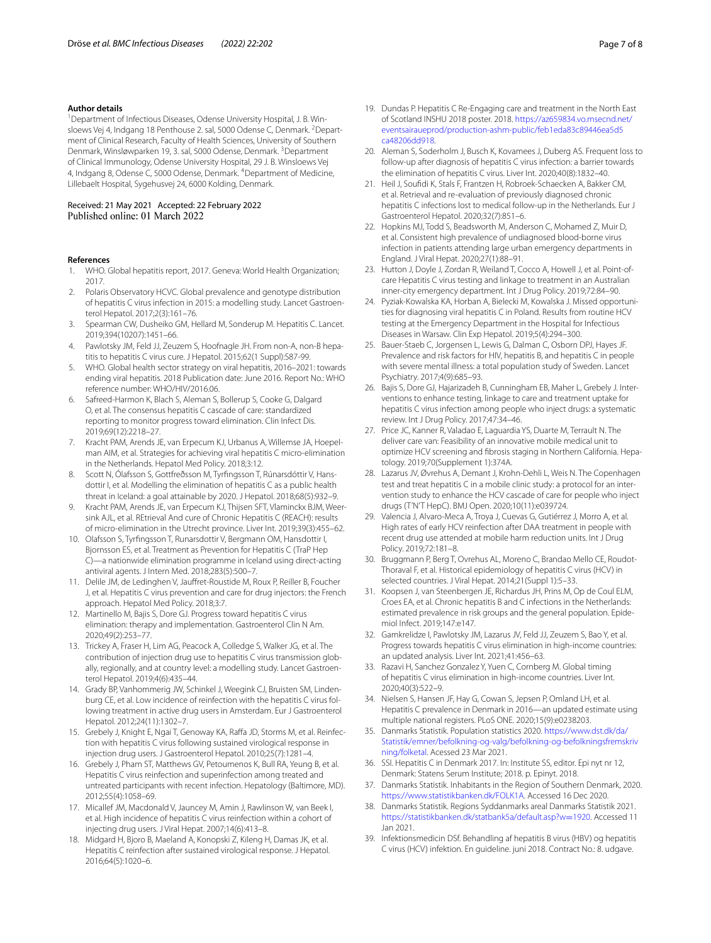#### **Author details**

<sup>1</sup> Department of Infectious Diseases, Odense University Hospital, J. B. Winsloews Vej 4, Indgang 18 Penthouse 2. sal, 5000 Odense C, Denmark. <sup>2</sup>Department of Clinical Research, Faculty of Health Sciences, University of Southern Denmark, Winsløwparken 19, 3. sal, 5000 Odense, Denmark. <sup>3</sup>Department of Clinical Immunology, Odense University Hospital, 29 J. B. Winsloews Vej 4, Indgang 8, Odense C, 5000 Odense, Denmark. <sup>4</sup> Department of Medicine, Lillebaelt Hospital, Sygehusvej 24, 6000 Kolding, Denmark.

#### Received: 21 May 2021 Accepted: 22 February 2022 Published online: 01 March 2022

#### **References**

- <span id="page-6-0"></span>1. WHO. Global hepatitis report, 2017. Geneva: World Health Organization; 2017.
- 2. Polaris Observatory HCVC. Global prevalence and genotype distribution of hepatitis C virus infection in 2015: a modelling study. Lancet Gastroenterol Hepatol. 2017;2(3):161–76.
- <span id="page-6-1"></span>3. Spearman CW, Dusheiko GM, Hellard M, Sonderup M. Hepatitis C. Lancet. 2019;394(10207):1451–66.
- <span id="page-6-2"></span>4. Pawlotsky JM, Feld JJ, Zeuzem S, Hoofnagle JH. From non-A, non-B hepatitis to hepatitis C virus cure. J Hepatol. 2015;62(1 Suppl):S87-99.
- <span id="page-6-3"></span>5. WHO. Global health sector strategy on viral hepatitis, 2016–2021: towards ending viral hepatitis. 2018 Publication date: June 2016. Report No.: WHO reference number: WHO/HIV/2016.06.
- <span id="page-6-4"></span>6. Safreed-Harmon K, Blach S, Aleman S, Bollerup S, Cooke G, Dalgard O, et al. The consensus hepatitis C cascade of care: standardized reporting to monitor progress toward elimination. Clin Infect Dis. 2019;69(12):2218–27.
- <span id="page-6-5"></span>7. Kracht PAM, Arends JE, van Erpecum KJ, Urbanus A, Willemse JA, Hoepelman AIM, et al. Strategies for achieving viral hepatitis C micro-elimination in the Netherlands. Hepatol Med Policy. 2018;3:12.
- 8. Scott N, Ólafsson S, Gottfreðsson M, Tyrfngsson T, Rúnarsdóttir V, Hansdottir I, et al. Modelling the elimination of hepatitis C as a public health threat in Iceland: a goal attainable by 2020. J Hepatol. 2018;68(5):932–9.
- <span id="page-6-11"></span>9. Kracht PAM, Arends JE, van Erpecum KJ, Thijsen SFT, Vlaminckx BJM, Weersink AJL, et al. REtrieval And cure of Chronic Hepatitis C (REACH): results of micro-elimination in the Utrecht province. Liver Int. 2019;39(3):455–62.
- 10. Olafsson S, Tyrfngsson T, Runarsdottir V, Bergmann OM, Hansdottir I, Bjornsson ES, et al. Treatment as Prevention for Hepatitis C (TraP Hep C)—a nationwide elimination programme in Iceland using direct-acting antiviral agents. J Intern Med. 2018;283(5):500–7.
- <span id="page-6-6"></span>11. Delile JM, de Ledinghen V, Jaufret-Roustide M, Roux P, Reiller B, Foucher J, et al. Hepatitis C virus prevention and care for drug injectors: the French approach. Hepatol Med Policy. 2018;3:7.
- <span id="page-6-7"></span>12. Martinello M, Bajis S, Dore GJ. Progress toward hepatitis C virus elimination: therapy and implementation. Gastroenterol Clin N Am. 2020;49(2):253–77.
- <span id="page-6-8"></span>13. Trickey A, Fraser H, Lim AG, Peacock A, Colledge S, Walker JG, et al. The contribution of injection drug use to hepatitis C virus transmission globally, regionally, and at country level: a modelling study. Lancet Gastroenterol Hepatol. 2019;4(6):435–44.
- <span id="page-6-9"></span>14. Grady BP, Vanhommerig JW, Schinkel J, Weegink CJ, Bruisten SM, Lindenburg CE, et al. Low incidence of reinfection with the hepatitis C virus following treatment in active drug users in Amsterdam. Eur J Gastroenterol Hepatol. 2012;24(11):1302–7.
- 15. Grebely J, Knight E, Ngai T, Genoway KA, Raffa JD, Storms M, et al. Reinfection with hepatitis C virus following sustained virological response in injection drug users. J Gastroenterol Hepatol. 2010;25(7):1281–4.
- 16. Grebely J, Pham ST, Matthews GV, Petoumenos K, Bull RA, Yeung B, et al. Hepatitis C virus reinfection and superinfection among treated and untreated participants with recent infection. Hepatology (Baltimore, MD). 2012;55(4):1058–69.
- 17. Micallef JM, Macdonald V, Jauncey M, Amin J, Rawlinson W, van Beek I, et al. High incidence of hepatitis C virus reinfection within a cohort of injecting drug users. J Viral Hepat. 2007;14(6):413–8.
- <span id="page-6-10"></span>18. Midgard H, Bjoro B, Maeland A, Konopski Z, Kileng H, Damas JK, et al. Hepatitis C reinfection after sustained virological response. J Hepatol. 2016;64(5):1020–6.
- <span id="page-6-12"></span>19. Dundas P. Hepatitis C Re-Engaging care and treatment in the North East of Scotland INSHU 2018 poster. 2018. [https://az659834.vo.msecnd.net/](https://az659834.vo.msecnd.net/eventsairaueprod/production-ashm-public/feb1eda83c89446ea5d5ca48206dd918) [eventsairaueprod/production-ashm-public/feb1eda83c89446ea5d5](https://az659834.vo.msecnd.net/eventsairaueprod/production-ashm-public/feb1eda83c89446ea5d5ca48206dd918) [ca48206dd918.](https://az659834.vo.msecnd.net/eventsairaueprod/production-ashm-public/feb1eda83c89446ea5d5ca48206dd918)
- 20. Aleman S, Soderholm J, Busch K, Kovamees J, Duberg AS. Frequent loss to follow-up after diagnosis of hepatitis C virus infection: a barrier towards the elimination of hepatitis C virus. Liver Int. 2020;40(8):1832–40.
- <span id="page-6-13"></span>21. Heil J, Soufdi K, Stals F, Frantzen H, Robroek-Schaecken A, Bakker CM, et al. Retrieval and re-evaluation of previously diagnosed chronic hepatitis C infections lost to medical follow-up in the Netherlands. Eur J Gastroenterol Hepatol. 2020;32(7):851–6.
- <span id="page-6-14"></span>22. Hopkins MJ, Todd S, Beadsworth M, Anderson C, Mohamed Z, Muir D, et al. Consistent high prevalence of undiagnosed blood-borne virus infection in patients attending large urban emergency departments in England. J Viral Hepat. 2020;27(1):88–91.
- 23. Hutton J, Doyle J, Zordan R, Weiland T, Cocco A, Howell J, et al. Point-ofcare Hepatitis C virus testing and linkage to treatment in an Australian inner-city emergency department. Int J Drug Policy. 2019;72:84–90.
- <span id="page-6-15"></span>24. Pyziak-Kowalska KA, Horban A, Bielecki M, Kowalska J. Missed opportunities for diagnosing viral hepatitis C in Poland. Results from routine HCV testing at the Emergency Department in the Hospital for Infectious Diseases in Warsaw. Clin Exp Hepatol. 2019;5(4):294–300.
- <span id="page-6-16"></span>25. Bauer-Staeb C, Jorgensen L, Lewis G, Dalman C, Osborn DPJ, Hayes JF. Prevalence and risk factors for HIV, hepatitis B, and hepatitis C in people with severe mental illness: a total population study of Sweden. Lancet Psychiatry. 2017;4(9):685–93.
- <span id="page-6-17"></span>26. Bajis S, Dore GJ, Hajarizadeh B, Cunningham EB, Maher L, Grebely J. Interventions to enhance testing, linkage to care and treatment uptake for hepatitis C virus infection among people who inject drugs: a systematic review. Int J Drug Policy. 2017;47:34–46.
- 27. Price JC, Kanner R, Valadao E, Laguardia YS, Duarte M, Terrault N. The deliver care van: Feasibility of an innovative mobile medical unit to optimize HCV screening and fbrosis staging in Northern California. Hepatology. 2019;70(Supplement 1):374A.
- 28. Lazarus JV, Øvrehus A, Demant J, Krohn-Dehli L, Weis N. The Copenhagen test and treat hepatitis C in a mobile clinic study: a protocol for an intervention study to enhance the HCV cascade of care for people who inject drugs (T'N'T HepC). BMJ Open. 2020;10(11):e039724.
- <span id="page-6-18"></span>29. Valencia J, Alvaro-Meca A, Troya J, Cuevas G, Gutiérrez J, Morro A, et al. High rates of early HCV reinfection after DAA treatment in people with recent drug use attended at mobile harm reduction units. Int J Drug Policy. 2019;72:181–8.
- <span id="page-6-19"></span>30. Bruggmann P, Berg T, Ovrehus AL, Moreno C, Brandao Mello CE, Roudot-Thoraval F, et al. Historical epidemiology of hepatitis C virus (HCV) in selected countries. J Viral Hepat. 2014;21(Suppl 1):5–33.
- <span id="page-6-20"></span>31. Koopsen J, van Steenbergen JE, Richardus JH, Prins M, Op de Coul ELM, Croes EA, et al. Chronic hepatitis B and C infections in the Netherlands: estimated prevalence in risk groups and the general population. Epidemiol Infect. 2019;147:e147.
- <span id="page-6-21"></span>32. Gamkrelidze I, Pawlotsky JM, Lazarus JV, Feld JJ, Zeuzem S, Bao Y, et al. Progress towards hepatitis C virus elimination in high-income countries: an updated analysis. Liver Int. 2021;41:456–63.
- <span id="page-6-22"></span>33. Razavi H, Sanchez Gonzalez Y, Yuen C, Cornberg M. Global timing of hepatitis C virus elimination in high-income countries. Liver Int. 2020;40(3):522–9.
- <span id="page-6-23"></span>34. Nielsen S, Hansen JF, Hay G, Cowan S, Jepsen P, Omland LH, et al. Hepatitis C prevalence in Denmark in 2016—an updated estimate using multiple national registers. PLoS ONE. 2020;15(9):e0238203.
- 35. Danmarks Statistik. Population statistics 2020. [https://www.dst.dk/da/](https://www.dst.dk/da/Statistik/emner/befolkning-og-valg/befolkning-og-befolkningsfremskrivning/folketal) [Statistik/emner/befolkning-og-valg/befolkning-og-befolkningsfremskriv](https://www.dst.dk/da/Statistik/emner/befolkning-og-valg/befolkning-og-befolkningsfremskrivning/folketal) [ning/folketal.](https://www.dst.dk/da/Statistik/emner/befolkning-og-valg/befolkning-og-befolkningsfremskrivning/folketal) Acessed 23 Mar 2021.
- <span id="page-6-24"></span>36. SSI. Hepatitis C in Denmark 2017. In: Institute SS, editor. Epi nyt nr 12, Denmark: Statens Serum Institute; 2018. p. Epinyt. 2018.
- <span id="page-6-25"></span>37. Danmarks Statistik. Inhabitants in the Region of Southern Denmark, 2020. <https://www.statistikbanken.dk/FOLK1A>. Accessed 16 Dec 2020.
- <span id="page-6-26"></span>38. Danmarks Statistik. Regions Syddanmarks areal Danmarks Statistik 2021. [https://statistikbanken.dk/statbank5a/default.asp?w](https://statistikbanken.dk/statbank5a/default.asp?w=1920)=1920. Accessed 11 Jan 2021.
- <span id="page-6-27"></span>39. Infektionsmedicin DSf. Behandling af hepatitis B virus (HBV) og hepatitis C virus (HCV) infektion. En guideline. juni 2018. Contract No.: 8. udgave.